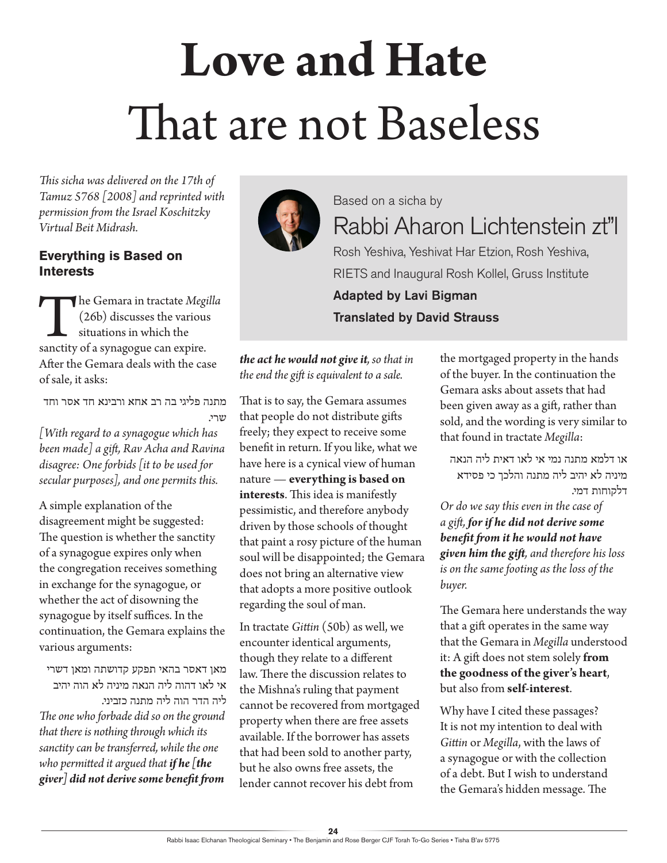# **Love and Hate**  That are not Baseless

*This sicha was delivered on the 17th of Tamuz 5768 [2008] and reprinted with permission from the Israel Koschitzky Virtual Beit Midrash.*

# **Everything is Based on Interests**

The Gemara in tractate *Megilla*<br>
(26b) discusses the various<br>
situations in which the<br>
sanctity of a synagogue can expire. (26b) discusses the various situations in which the After the Gemara deals with the case of sale, it asks:

מתנה פליגי בה רב אחא ורבינא חד אסר וחד שרי.

*[With regard to a synagogue which has been made] a gift, Rav Acha and Ravina disagree: One forbids [it to be used for secular purposes], and one permits this.*

A simple explanation of the disagreement might be suggested: The question is whether the sanctity of a synagogue expires only when the congregation receives something in exchange for the synagogue, or whether the act of disowning the synagogue by itself suffices. In the continuation, the Gemara explains the various arguments:

מאן דאסר בהאי תפקע קדושתה ומאן דשרי אי לאו דהוה ליה הנאה מיניה לא הוה יהיב ליה הדר הוה ליה מתנה כזביני. *The one who forbade did so on the ground that there is nothing through which its sanctity can be transferred, while the one who permitted it argued that if he [the giver] did not derive some benefit from* 



Based on a sicha by

Rabbi Aharon Lichtenstein zt"l Rosh Yeshiva, Yeshivat Har Etzion, Rosh Yeshiva, RIETS and Inaugural Rosh Kollel, Gruss Institute Adapted by Lavi Bigman Translated by David Strauss

# *the act he would not give it, so that in the end the gift is equivalent to a sale.*

That is to say, the Gemara assumes that people do not distribute gifts freely; they expect to receive some benefit in return. If you like, what we have here is a cynical view of human nature — **everything is based on interests**. This idea is manifestly pessimistic, and therefore anybody driven by those schools of thought that paint a rosy picture of the human soul will be disappointed; the Gemara does not bring an alternative view that adopts a more positive outlook regarding the soul of man.

In tractate *Gittin* (50b) as well, we encounter identical arguments, though they relate to a different law. There the discussion relates to the Mishna's ruling that payment cannot be recovered from mortgaged property when there are free assets available. If the borrower has assets that had been sold to another party, but he also owns free assets, the lender cannot recover his debt from

the mortgaged property in the hands of the buyer. In the continuation the Gemara asks about assets that had been given away as a gift, rather than sold, and the wording is very similar to that found in tractate *Megilla*:

או דלמא מתנה נמי אי לאו דאית ליה הנאה מיניה לא יהיב ליה מתנה והלכך כי פסידא דלקוחות דמי.

*Or do we say this even in the case of a gift, for if he did not derive some benefit from it he would not have given him the gift, and therefore his loss is on the same footing as the loss of the buyer.*

The Gemara here understands the way that a gift operates in the same way that the Gemara in *Megilla* understood it: A gift does not stem solely **from the goodness of the giver's heart**, but also from **self-interest**.

Why have I cited these passages? It is not my intention to deal with *Gittin* or *Megilla*, with the laws of a synagogue or with the collection of a debt. But I wish to understand the Gemara's hidden message. The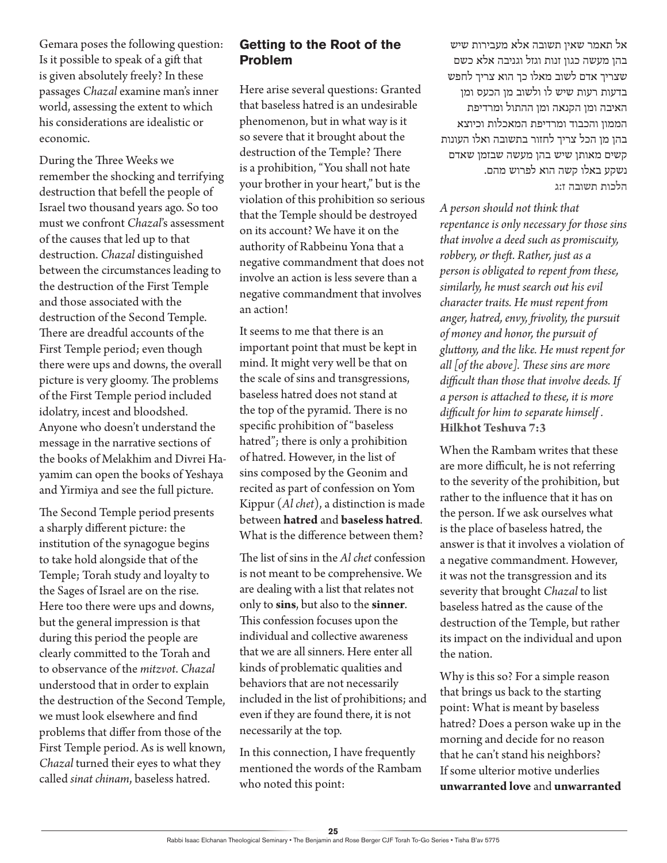Gemara poses the following question: Is it possible to speak of a gift that is given absolutely freely? In these passages *Chazal* examine man's inner world, assessing the extent to which his considerations are idealistic or economic.

During the Three Weeks we remember the shocking and terrifying destruction that befell the people of Israel two thousand years ago. So too must we confront *Chazal*'s assessment of the causes that led up to that destruction. *Chazal* distinguished between the circumstances leading to the destruction of the First Temple and those associated with the destruction of the Second Temple. There are dreadful accounts of the First Temple period; even though there were ups and downs, the overall picture is very gloomy. The problems of the First Temple period included idolatry, incest and bloodshed. Anyone who doesn't understand the message in the narrative sections of the books of Melakhim and Divrei Hayamim can open the books of Yeshaya and Yirmiya and see the full picture.

The Second Temple period presents a sharply different picture: the institution of the synagogue begins to take hold alongside that of the Temple; Torah study and loyalty to the Sages of Israel are on the rise. Here too there were ups and downs, but the general impression is that during this period the people are clearly committed to the Torah and to observance of the *mitzvot*. *Chazal* understood that in order to explain the destruction of the Second Temple, we must look elsewhere and find problems that differ from those of the First Temple period. As is well known, *Chazal* turned their eyes to what they called *sinat chinam*, baseless hatred.

### **Getting to the Root of the Problem**

Here arise several questions: Granted that baseless hatred is an undesirable phenomenon, but in what way is it so severe that it brought about the destruction of the Temple? There is a prohibition, "You shall not hate your brother in your heart," but is the violation of this prohibition so serious that the Temple should be destroyed on its account? We have it on the authority of Rabbeinu Yona that a negative commandment that does not involve an action is less severe than a negative commandment that involves an action!

It seems to me that there is an important point that must be kept in mind. It might very well be that on the scale of sins and transgressions, baseless hatred does not stand at the top of the pyramid. There is no specific prohibition of "baseless hatred"; there is only a prohibition of hatred. However, in the list of sins composed by the Geonim and recited as part of confession on Yom Kippur (*Al chet*), a distinction is made between **hatred** and **baseless hatred**. What is the difference between them?

The list of sins in the *Al chet* confession is not meant to be comprehensive. We are dealing with a list that relates not only to **sins**, but also to the **sinner**. This confession focuses upon the individual and collective awareness that we are all sinners. Here enter all kinds of problematic qualities and behaviors that are not necessarily included in the list of prohibitions; and even if they are found there, it is not necessarily at the top.

In this connection, I have frequently mentioned the words of the Rambam who noted this point:

אל תאמר שאין תשובה אלא מעבירות שיש בהן מעשה כגון זנות וגזל וגניבה אלא כשם שצריך אדם לשוב מאלו כך הוא צריך לחפש בדעות רעות שיש לו ולשוב מן הכעס ומן האיבה ומן הקנאה ומן ההתול ומרדיפת הממון והכבוד ומרדיפת המאכלות וכיוצא בהן מן הכל צריך לחזור בתשובה ואלו העונות קשים מאותן שיש בהן מעשה שבזמן שאדם נשקע באלו קשה הוא לפרוש מהם. **הלכות תשובה ז:ג**

*A person should not think that repentance is only necessary for those sins that involve a deed such as promiscuity, robbery, or theft. Rather, just as a person is obligated to repent from these, similarly, he must search out his evil character traits. He must repent from anger, hatred, envy, frivolity, the pursuit of money and honor, the pursuit of gluttony, and the like. He must repent for all [of the above]. These sins are more difficult than those that involve deeds. If a person is attached to these, it is more difficult for him to separate himself .*  **Hilkhot Teshuva 7:3**

When the Rambam writes that these are more difficult, he is not referring to the severity of the prohibition, but rather to the influence that it has on the person. If we ask ourselves what is the place of baseless hatred, the answer is that it involves a violation of a negative commandment. However, it was not the transgression and its severity that brought *Chazal* to list baseless hatred as the cause of the destruction of the Temple, but rather its impact on the individual and upon the nation.

Why is this so? For a simple reason that brings us back to the starting point: What is meant by baseless hatred? Does a person wake up in the morning and decide for no reason that he can't stand his neighbors? If some ulterior motive underlies **unwarranted love** and **unwarranted**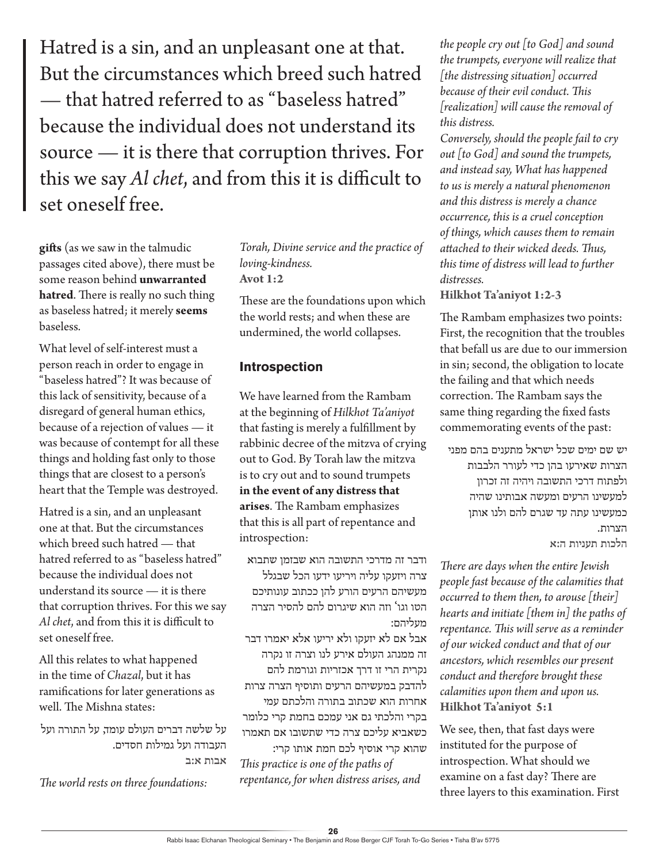Hatred is a sin, and an unpleasant one at that. But the circumstances which breed such hatred — that hatred referred to as "baseless hatred" because the individual does not understand its source — it is there that corruption thrives. For this we say *Al chet*, and from this it is difficult to set oneself free.

**gifts** (as we saw in the talmudic passages cited above), there must be some reason behind **unwarranted hatred**. There is really no such thing as baseless hatred; it merely **seems** baseless.

What level of self-interest must a person reach in order to engage in "baseless hatred"? It was because of this lack of sensitivity, because of a disregard of general human ethics, because of a rejection of values — it was because of contempt for all these things and holding fast only to those things that are closest to a person's heart that the Temple was destroyed.

Hatred is a sin, and an unpleasant one at that. But the circumstances which breed such hatred — that hatred referred to as "baseless hatred" because the individual does not understand its source — it is there that corruption thrives. For this we say *Al chet*, and from this it is difficult to set oneself free.

All this relates to what happened in the time of *Chazal*, but it has ramifications for later generations as well. The Mishna states:

על שלשה דברים העולם עומד, על התורה ועל העבודה ועל גמילות חסדים. **אבות א:ב**

*The world rests on three foundations:* 

*Torah, Divine service and the practice of loving-kindness.*  **Avot 1:2**

These are the foundations upon which the world rests; and when these are undermined, the world collapses.

#### **Introspection**

We have learned from the Rambam at the beginning of *Hilkhot Ta'aniyot* that fasting is merely a fulfillment by rabbinic decree of the mitzva of crying out to God. By Torah law the mitzva is to cry out and to sound trumpets **in the event of any distress that arises**. The Rambam emphasizes that this is all part of repentance and introspection:

ודבר זה מדרכי התשובה הוא שבזמן שתבוא צרה ויזעקו עליה ויריעו ידעו הכל שבגלל מעשיהם הרעים הורע להן ככתוב עונותיכם הטו וגו' וזה הוא שיגרום להם להסיר הצרה מעליהם:

אבל אם לא יזעקו ולא יריעו אלא יאמרו דבר זה ממנהג העולם אירע לנו וצרה זו נקרה נקרית הרי זו דרך אכזריות וגורמת להם להדבק במעשיהם הרעים ותוסיף הצרה צרות אחרות הוא שכתוב בתורה והלכתם עמי בקרי והלכתי גם אני עמכם בחמת קרי כלומר כשאביא עליכם צרה כדי שתשובו אם תאמרו שהוא קרי אוסיף לכם חמת אותו קרי:

*This practice is one of the paths of repentance, for when distress arises, and*  *the people cry out [to God] and sound the trumpets, everyone will realize that [the distressing situation] occurred because of their evil conduct. This [realization] will cause the removal of this distress.*

*Conversely, should the people fail to cry out [to God] and sound the trumpets, and instead say, What has happened to us is merely a natural phenomenon and this distress is merely a chance occurrence, this is a cruel conception of things, which causes them to remain attached to their wicked deeds. Thus, this time of distress will lead to further distresses.* 

**Hilkhot Ta'aniyot 1:2-3**

The Rambam emphasizes two points: First, the recognition that the troubles that befall us are due to our immersion in sin; second, the obligation to locate the failing and that which needs correction. The Rambam says the same thing regarding the fixed fasts commemorating events of the past:

יש שם ימים שכל ישראל מתענים בהם מפני הצרות שאירעו בהן כדי לעורר הלבבות ולפתוח דרכי התשובה ויהיה זה זכרון למעשינו הרעים ומעשה אבותינו שהיה כמעשינו עתה עד שגרם להם ולנו אותן הצרות. **הלכות תעניות ה:א**

*There are days when the entire Jewish people fast because of the calamities that occurred to them then, to arouse [their] hearts and initiate [them in] the paths of repentance. This will serve as a reminder of our wicked conduct and that of our ancestors, which resembles our present conduct and therefore brought these calamities upon them and upon us.*  **Hilkhot Ta'aniyot 5:1**

We see, then, that fast days were instituted for the purpose of introspection. What should we examine on a fast day? There are three layers to this examination. First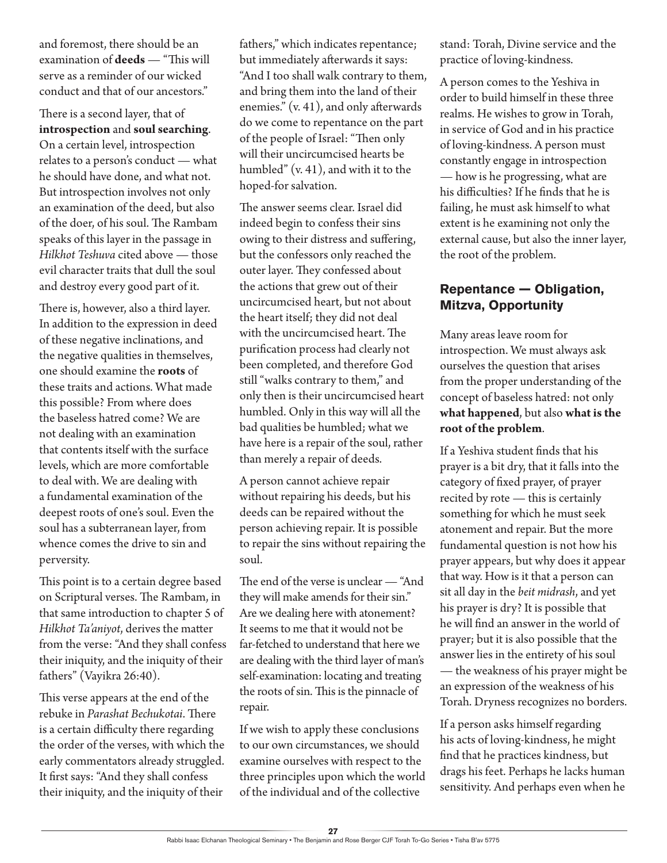and foremost, there should be an examination of **deeds** — "This will serve as a reminder of our wicked conduct and that of our ancestors."

There is a second layer, that of **introspection** and **soul searching**. On a certain level, introspection relates to a person's conduct — what he should have done, and what not. But introspection involves not only an examination of the deed, but also of the doer, of his soul. The Rambam speaks of this layer in the passage in *Hilkhot Teshuva* cited above — those evil character traits that dull the soul and destroy every good part of it.

There is, however, also a third layer. In addition to the expression in deed of these negative inclinations, and the negative qualities in themselves, one should examine the **roots** of these traits and actions. What made this possible? From where does the baseless hatred come? We are not dealing with an examination that contents itself with the surface levels, which are more comfortable to deal with. We are dealing with a fundamental examination of the deepest roots of one's soul. Even the soul has a subterranean layer, from whence comes the drive to sin and perversity.

This point is to a certain degree based on Scriptural verses. The Rambam, in that same introduction to chapter 5 of *Hilkhot Ta'aniyot*, derives the matter from the verse: "And they shall confess their iniquity, and the iniquity of their fathers" (Vayikra 26:40).

This verse appears at the end of the rebuke in *Parashat Bechukotai*. There is a certain difficulty there regarding the order of the verses, with which the early commentators already struggled. It first says: "And they shall confess their iniquity, and the iniquity of their

fathers," which indicates repentance; but immediately afterwards it says: "And I too shall walk contrary to them, and bring them into the land of their enemies." (v. 41), and only afterwards do we come to repentance on the part of the people of Israel: "Then only will their uncircumcised hearts be humbled" (v. 41), and with it to the hoped-for salvation.

The answer seems clear. Israel did indeed begin to confess their sins owing to their distress and suffering, but the confessors only reached the outer layer. They confessed about the actions that grew out of their uncircumcised heart, but not about the heart itself; they did not deal with the uncircumcised heart. The purification process had clearly not been completed, and therefore God still "walks contrary to them," and only then is their uncircumcised heart humbled. Only in this way will all the bad qualities be humbled; what we have here is a repair of the soul, rather than merely a repair of deeds.

A person cannot achieve repair without repairing his deeds, but his deeds can be repaired without the person achieving repair. It is possible to repair the sins without repairing the soul.

The end of the verse is unclear — "And they will make amends for their sin." Are we dealing here with atonement? It seems to me that it would not be far-fetched to understand that here we are dealing with the third layer of man's self-examination: locating and treating the roots of sin. This is the pinnacle of repair.

If we wish to apply these conclusions to our own circumstances, we should examine ourselves with respect to the three principles upon which the world of the individual and of the collective

stand: Torah, Divine service and the practice of loving-kindness.

A person comes to the Yeshiva in order to build himself in these three realms. He wishes to grow in Torah, in service of God and in his practice of loving-kindness. A person must constantly engage in introspection — how is he progressing, what are his difficulties? If he finds that he is failing, he must ask himself to what extent is he examining not only the external cause, but also the inner layer, the root of the problem.

# **Repentance — Obligation, Mitzva, Opportunity**

Many areas leave room for introspection. We must always ask ourselves the question that arises from the proper understanding of the concept of baseless hatred: not only **what happened**, but also **what is the root of the problem**.

If a Yeshiva student finds that his prayer is a bit dry, that it falls into the category of fixed prayer, of prayer recited by rote — this is certainly something for which he must seek atonement and repair. But the more fundamental question is not how his prayer appears, but why does it appear that way. How is it that a person can sit all day in the *beit midrash*, and yet his prayer is dry? It is possible that he will find an answer in the world of prayer; but it is also possible that the answer lies in the entirety of his soul — the weakness of his prayer might be an expression of the weakness of his Torah. Dryness recognizes no borders.

If a person asks himself regarding his acts of loving-kindness, he might find that he practices kindness, but drags his feet. Perhaps he lacks human sensitivity. And perhaps even when he